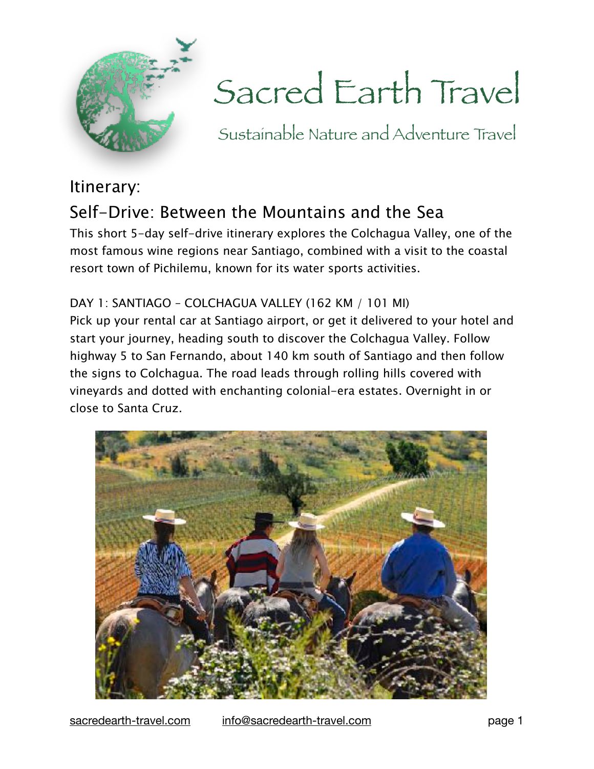

# Sacred Earth Travel

Sustainable Nature and Adventure Travel

# Itinerary: Self-Drive: Between the Mountains and the Sea

This short 5-day self-drive itinerary explores the Colchagua Valley, one of the most famous wine regions near Santiago, combined with a visit to the coastal resort town of Pichilemu, known for its water sports activities.

DAY 1: SANTIAGO – COLCHAGUA VALLEY (162 KM / 101 MI) Pick up your rental car at Santiago airport, or get it delivered to your hotel and start your journey, heading south to discover the Colchagua Valley. Follow highway 5 to San Fernando, about 140 km south of Santiago and then follow the signs to Colchagua. The road leads through rolling hills covered with vineyards and dotted with enchanting colonial-era estates. Overnight in or close to Santa Cruz.



[sacredearth-travel.com](http://sacredearth-travel.com) [info@sacredearth-travel.com](mailto:info@sacredearth-travel.com) page 1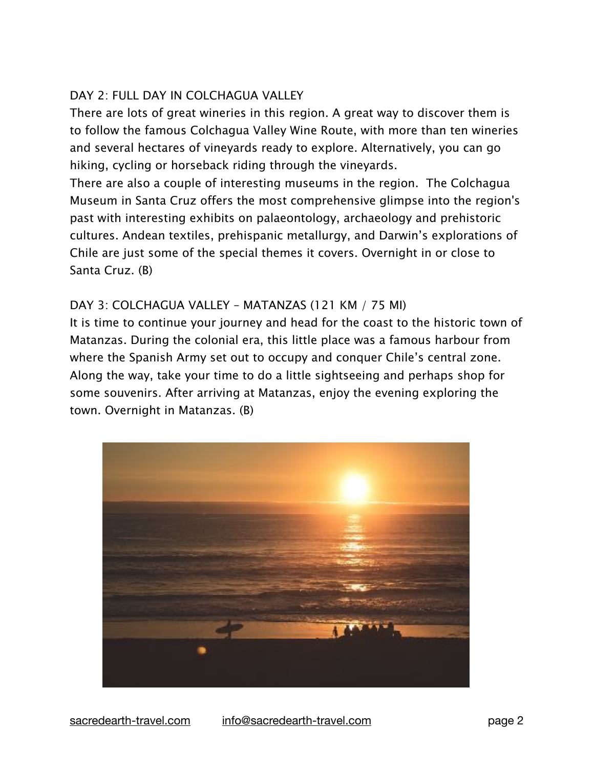# DAY 2: FULL DAY IN COLCHAGUA VALLEY

There are lots of great wineries in this region. A great way to discover them is to follow the famous Colchagua Valley Wine Route, with more than ten wineries and several hectares of vineyards ready to explore. Alternatively, you can go hiking, cycling or horseback riding through the vineyards.

There are also a couple of interesting museums in the region. The Colchagua Museum in Santa Cruz offers the most comprehensive glimpse into the region's past with interesting exhibits on palaeontology, archaeology and prehistoric cultures. Andean textiles, prehispanic metallurgy, and Darwin's explorations of Chile are just some of the special themes it covers. Overnight in or close to Santa Cruz. (B)

# DAY 3: COLCHAGUA VALLEY – MATANZAS (121 KM / 75 MI)

It is time to continue your journey and head for the coast to the historic town of Matanzas. During the colonial era, this little place was a famous harbour from where the Spanish Army set out to occupy and conquer Chile's central zone. Along the way, take your time to do a little sightseeing and perhaps shop for some souvenirs. After arriving at Matanzas, enjoy the evening exploring the town. Overnight in Matanzas. (B)